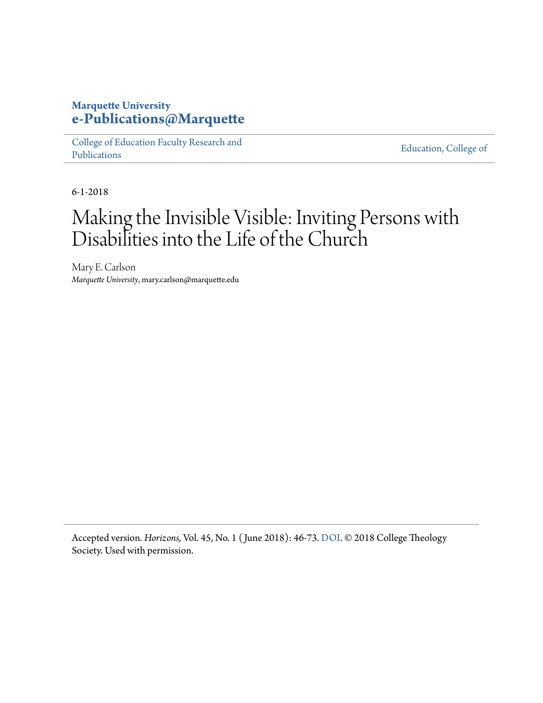#### **Marquette University [e-Publications@Marquette](https://epublications.marquette.edu)**

[College of Education Faculty Research and](https://epublications.marquette.edu/edu_fac) [Publications](https://epublications.marquette.edu/edu_fac)

[Education, College of](https://epublications.marquette.edu/education)

6-1-2018

# Making the Invisible Visible: Inviting Persons with Disabilities into the Life of the Church

Mary E. Carlson *Marquette University*, mary.carlson@marquette.edu

Accepted version*. Horizons,* Vol. 45, No. 1 ( June 2018): 46-73. [DOI.](http://dx.doi.org/10.1017/hor.2018.52) © 2018 College Theology Society. Used with permission.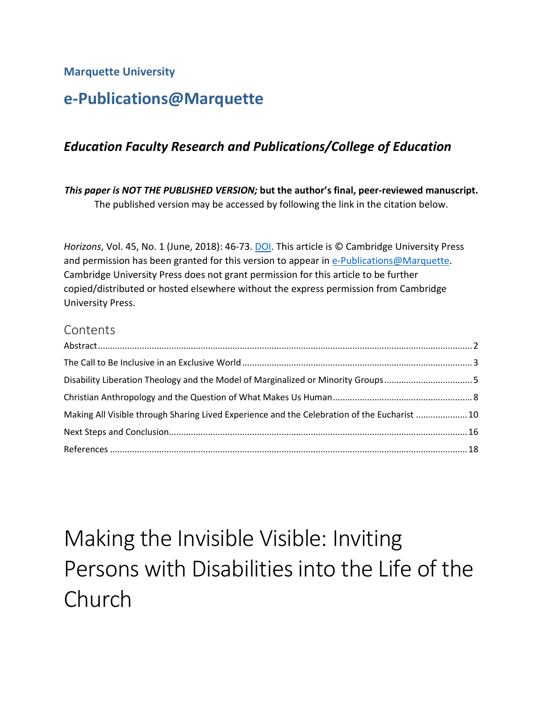**Marquette University**

## **e-Publications@Marquette**

### *Education Faculty Research and Publications/College of Education*

*This paper is NOT THE PUBLISHED VERSION;* **but the author's final, peer-reviewed manuscript.**  The published version may be accessed by following the link in the citation below.

*Horizons*, Vol. 45, No. 1 (June, 2018): 46-73. [DOI.](https://dx.doi.org/10.1017/hor.2018.52) This article is © Cambridge University Press and permission has been granted for this version to appear in [e-Publications@Marquette.](http://epublications.marquette.edu/) Cambridge University Press does not grant permission for this article to be further copied/distributed or hosted elsewhere without the express permission from Cambridge University Press.

#### Contents

| Disability Liberation Theology and the Model of Marginalized or Minority Groups5            |  |
|---------------------------------------------------------------------------------------------|--|
|                                                                                             |  |
| Making All Visible through Sharing Lived Experience and the Celebration of the Eucharist 10 |  |
|                                                                                             |  |
|                                                                                             |  |

# Making the Invisible Visible: Inviting Persons with Disabilities into the Life of the Church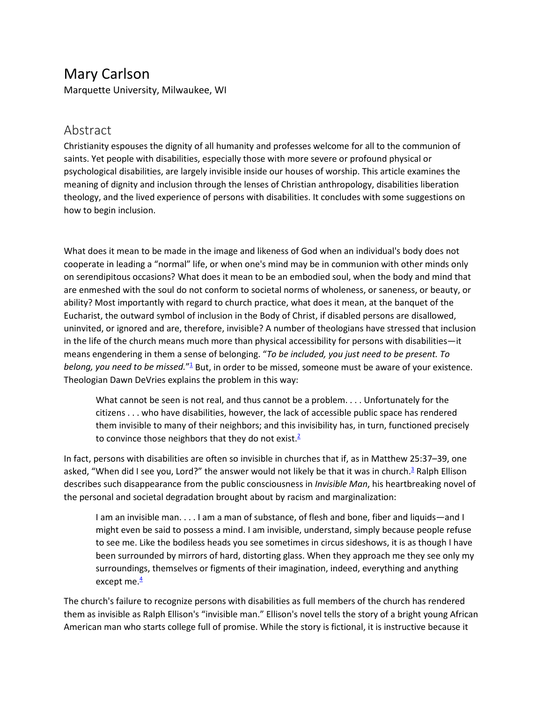# Mary Carlson

Marquette University, Milwaukee, WI

#### <span id="page-2-0"></span>Abstract

Christianity espouses the dignity of all humanity and professes welcome for all to the communion of saints. Yet people with disabilities, especially those with more severe or profound physical or psychological disabilities, are largely invisible inside our houses of worship. This article examines the meaning of dignity and inclusion through the lenses of Christian anthropology, disabilities liberation theology, and the lived experience of persons with disabilities. It concludes with some suggestions on how to begin inclusion.

What does it mean to be made in the image and likeness of God when an individual's body does not cooperate in leading a "normal" life, or when one's mind may be in communion with other minds only on serendipitous occasions? What does it mean to be an embodied soul, when the body and mind that are enmeshed with the soul do not conform to societal norms of wholeness, or saneness, or beauty, or ability? Most importantly with regard to church practice, what does it mean, at the banquet of the Eucharist, the outward symbol of inclusion in the Body of Christ, if disabled persons are disallowed, uninvited, or ignored and are, therefore, invisible? A number of theologians have stressed that inclusion in the life of the church means much more than physical accessibility for persons with disabilities—it means engendering in them a sense of belonging. "*To be included, you just need to be present. To belong, you need to be missed.*["1](https://www.cambridge.org/core/journals/horizons/article/making-the-invisible-visible-inviting-persons-with-disabilities-into-the-life-of-the-church/960A22FF83E46C8D7F9A3BE0BD30B642/core-reader#fn1) But, in order to be missed, someone must be aware of your existence. Theologian Dawn DeVries explains the problem in this way:

What cannot be seen is not real, and thus cannot be a problem. . . . Unfortunately for the citizens . . . who have disabilities, however, the lack of accessible public space has rendered them invisible to many of their neighbors; and this invisibility has, in turn, functioned precisely to convince those neighbors that they do not exist.<sup>2</sup>

In fact, persons with disabilities are often so invisible in churches that if, as in Matthew 25:37–39, one asked, "When did I see you, Lord?" the answer would not likely be that it was in church.<sup>3</sup> Ralph Ellison describes such disappearance from the public consciousness in *Invisible Man*, his heartbreaking novel of the personal and societal degradation brought about by racism and marginalization:

I am an invisible man. . . . I am a man of substance, of flesh and bone, fiber and liquids—and I might even be said to possess a mind. I am invisible, understand, simply because people refuse to see me. Like the bodiless heads you see sometimes in circus sideshows, it is as though I have been surrounded by mirrors of hard, distorting glass. When they approach me they see only my surroundings, themselves or figments of their imagination, indeed, everything and anything except me. $\frac{4}{7}$ 

The church's failure to recognize persons with disabilities as full members of the church has rendered them as invisible as Ralph Ellison's "invisible man." Ellison's novel tells the story of a bright young African American man who starts college full of promise. While the story is fictional, it is instructive because it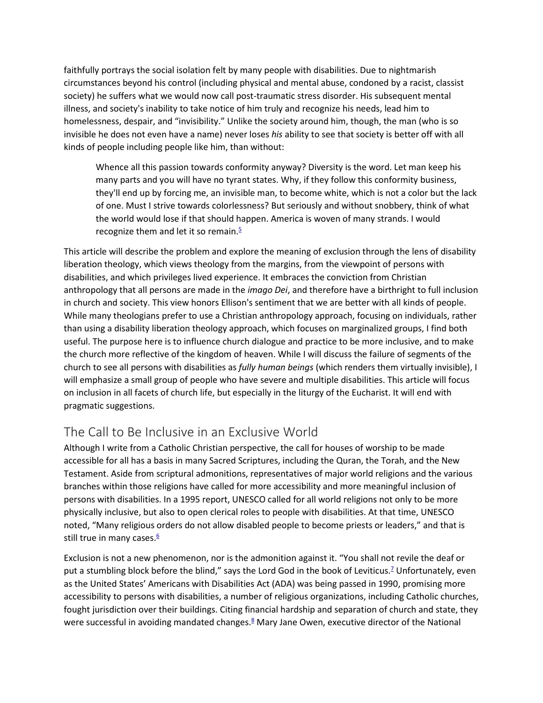faithfully portrays the social isolation felt by many people with disabilities. Due to nightmarish circumstances beyond his control (including physical and mental abuse, condoned by a racist, classist society) he suffers what we would now call post-traumatic stress disorder. His subsequent mental illness, and society's inability to take notice of him truly and recognize his needs, lead him to homelessness, despair, and "invisibility." Unlike the society around him, though, the man (who is so invisible he does not even have a name) never loses *his* ability to see that society is better off with all kinds of people including people like him, than without:

Whence all this passion towards conformity anyway? Diversity is the word. Let man keep his many parts and you will have no tyrant states. Why, if they follow this conformity business, they'll end up by forcing me, an invisible man, to become white, which is not a color but the lack of one. Must I strive towards colorlessness? But seriously and without snobbery, think of what the world would lose if that should happen. America is woven of many strands. I would recognize them and let it so remain. $5$ 

This article will describe the problem and explore the meaning of exclusion through the lens of disability liberation theology, which views theology from the margins, from the viewpoint of persons with disabilities, and which privileges lived experience. It embraces the conviction from Christian anthropology that all persons are made in the *imago Dei*, and therefore have a birthright to full inclusion in church and society. This view honors Ellison's sentiment that we are better with all kinds of people. While many theologians prefer to use a Christian anthropology approach, focusing on individuals, rather than using a disability liberation theology approach, which focuses on marginalized groups, I find both useful. The purpose here is to influence church dialogue and practice to be more inclusive, and to make the church more reflective of the kingdom of heaven. While I will discuss the failure of segments of the church to see all persons with disabilities as *fully human beings* (which renders them virtually invisible), I will emphasize a small group of people who have severe and multiple disabilities. This article will focus on inclusion in all facets of church life, but especially in the liturgy of the Eucharist. It will end with pragmatic suggestions.

### <span id="page-3-0"></span>The Call to Be Inclusive in an Exclusive World

Although I write from a Catholic Christian perspective, the call for houses of worship to be made accessible for all has a basis in many Sacred Scriptures, including the Quran, the Torah, and the New Testament. Aside from scriptural admonitions, representatives of major world religions and the various branches within those religions have called for more accessibility and more meaningful inclusion of persons with disabilities. In a 1995 report, UNESCO called for all world religions not only to be more physically inclusive, but also to open clerical roles to people with disabilities. At that time, UNESCO noted, "Many religious orders do not allow disabled people to become priests or leaders," and that is still true in many cases.<sup>6</sup>

Exclusion is not a new phenomenon, nor is the admonition against it. "You shall not revile the deaf or put a stumbling block before the blind," says the Lord God in the book of Leviticus.<sup>7</sup> Unfortunately, even as the United States' Americans with Disabilities Act (ADA) was being passed in 1990, promising more accessibility to persons with disabilities, a number of religious organizations, including Catholic churches, fought jurisdiction over their buildings. Citing financial hardship and separation of church and state, they were successful in avoiding mandated changes.<sup>8</sup> Mary Jane Owen, executive director of the National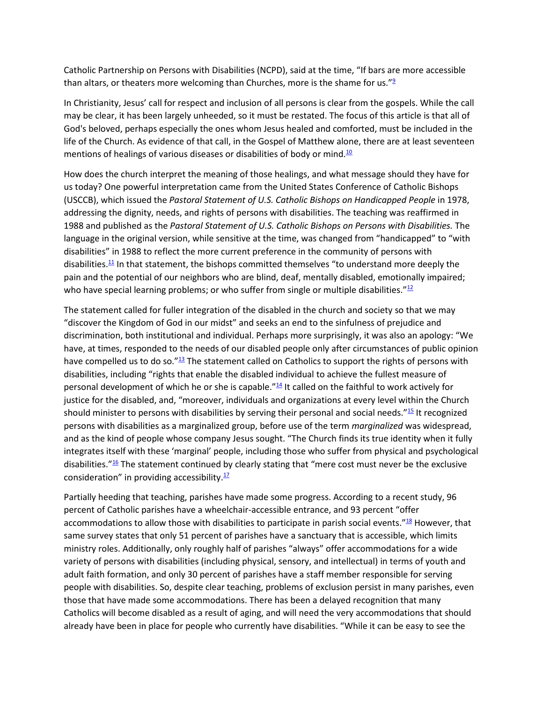Catholic Partnership on Persons with Disabilities (NCPD), said at the time, "If bars are more accessible than altars, or theaters more welcoming than Churches, more is the shame for us." $2$ 

In Christianity, Jesus' call for respect and inclusion of all persons is clear from the gospels. While the call may be clear, it has been largely unheeded, so it must be restated. The focus of this article is that all of God's beloved, perhaps especially the ones whom Jesus healed and comforted, must be included in the life of the Church. As evidence of that call, in the Gospel of Matthew alone, there are at least seventeen mentions of healings of various diseases or disabilities of body or mind. $\frac{10}{2}$ 

How does the church interpret the meaning of those healings, and what message should they have for us today? One powerful interpretation came from the United States Conference of Catholic Bishops (USCCB), which issued the *Pastoral Statement of U.S. Catholic Bishops on Handicapped People* in 1978, addressing the dignity, needs, and rights of persons with disabilities. The teaching was reaffirmed in 1988 and published as the *Pastoral Statement of U.S. Catholic Bishops on Persons with Disabilities.* The language in the original version, while sensitive at the time, was changed from "handicapped" to "with disabilities" in 1988 to reflect the more current preference in the community of persons with disabilities. $\frac{11}{2}$  In that statement, the bishops committed themselves "to understand more deeply the pain and the potential of our neighbors who are blind, deaf, mentally disabled, emotionally impaired; who have special learning problems; or who suffer from single or multiple disabilities." $12$ 

The statement called for fuller integration of the disabled in the church and society so that we may "discover the Kingdom of God in our midst" and seeks an end to the sinfulness of prejudice and discrimination, both institutional and individual. Perhaps more surprisingly, it was also an apology: "We have, at times, responded to the needs of our disabled people only after circumstances of public opinion have compelled us to do so."<sup>13</sup> The statement called on Catholics to support the rights of persons with disabilities, including "rights that enable the disabled individual to achieve the fullest measure of personal development of which he or she is capable." $^{14}$  It called on the faithful to work actively for justice for the disabled, and, "moreover, individuals and organizations at every level within the Church should minister to persons with disabilities by serving their personal and social needs.["15](https://www.cambridge.org/core/journals/horizons/article/making-the-invisible-visible-inviting-persons-with-disabilities-into-the-life-of-the-church/960A22FF83E46C8D7F9A3BE0BD30B642/core-reader#fn15) It recognized persons with disabilities as a marginalized group, before use of the term *marginalized* was widespread, and as the kind of people whose company Jesus sought. "The Church finds its true identity when it fully integrates itself with these 'marginal' people, including those who suffer from physical and psychological disabilities."<sup>16</sup> The statement continued by clearly stating that "mere cost must never be the exclusive consideration" in providing accessibility. $\frac{17}{12}$ 

Partially heeding that teaching, parishes have made some progress. According to a recent study, 96 percent of Catholic parishes have a wheelchair-accessible entrance, and 93 percent "offer accommodations to allow those with disabilities to participate in parish social events."<sup>18</sup> However, that same survey states that only 51 percent of parishes have a sanctuary that is accessible, which limits ministry roles. Additionally, only roughly half of parishes "always" offer accommodations for a wide variety of persons with disabilities (including physical, sensory, and intellectual) in terms of youth and adult faith formation, and only 30 percent of parishes have a staff member responsible for serving people with disabilities. So, despite clear teaching, problems of exclusion persist in many parishes, even those that have made some accommodations. There has been a delayed recognition that many Catholics will become disabled as a result of aging, and will need the very accommodations that should already have been in place for people who currently have disabilities. "While it can be easy to see the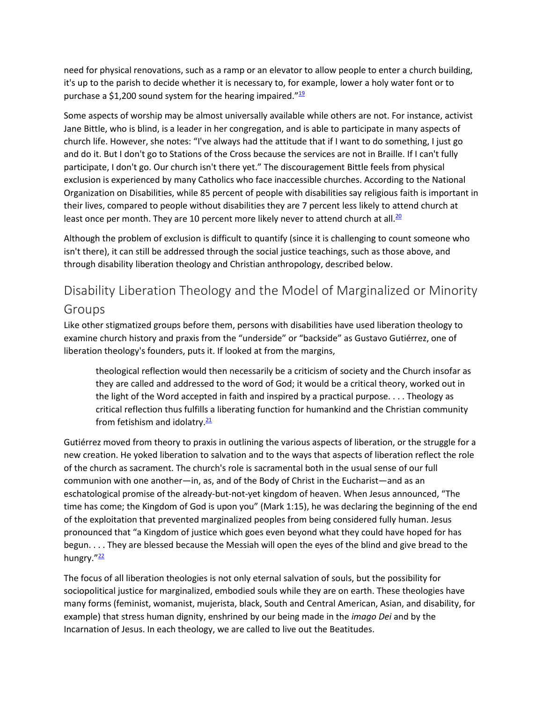need for physical renovations, such as a ramp or an elevator to allow people to enter a church building, it's up to the parish to decide whether it is necessary to, for example, lower a holy water font or to purchase a \$1,200 sound system for the hearing impaired." $\frac{19}{2}$ 

Some aspects of worship may be almost universally available while others are not. For instance, activist Jane Bittle, who is blind, is a leader in her congregation, and is able to participate in many aspects of church life. However, she notes: "I've always had the attitude that if I want to do something, I just go and do it. But I don't go to Stations of the Cross because the services are not in Braille. If I can't fully participate, I don't go. Our church isn't there yet." The discouragement Bittle feels from physical exclusion is experienced by many Catholics who face inaccessible churches. According to the National Organization on Disabilities, while 85 percent of people with disabilities say religious faith is important in their lives, compared to people without disabilities they are 7 percent less likely to attend church at least once per month. They are 10 percent more likely never to attend church at all.<sup>20</sup>

Although the problem of exclusion is difficult to quantify (since it is challenging to count someone who isn't there), it can still be addressed through the social justice teachings, such as those above, and through disability liberation theology and Christian anthropology, described below.

# <span id="page-5-0"></span>Disability Liberation Theology and the Model of Marginalized or Minority

#### Groups

Like other stigmatized groups before them, persons with disabilities have used liberation theology to examine church history and praxis from the "underside" or "backside" as Gustavo Gutiérrez, one of liberation theology's founders, puts it. If looked at from the margins,

theological reflection would then necessarily be a criticism of society and the Church insofar as they are called and addressed to the word of God; it would be a critical theory, worked out in the light of the Word accepted in faith and inspired by a practical purpose. . . . Theology as critical reflection thus fulfills a liberating function for humankind and the Christian community from fetishism and idolatry. $21$ 

Gutiérrez moved from theory to praxis in outlining the various aspects of liberation, or the struggle for a new creation. He yoked liberation to salvation and to the ways that aspects of liberation reflect the role of the church as sacrament. The church's role is sacramental both in the usual sense of our full communion with one another—in, as, and of the Body of Christ in the Eucharist—and as an eschatological promise of the already-but-not-yet kingdom of heaven. When Jesus announced, "The time has come; the Kingdom of God is upon you" (Mark 1:15), he was declaring the beginning of the end of the exploitation that prevented marginalized peoples from being considered fully human. Jesus pronounced that "a Kingdom of justice which goes even beyond what they could have hoped for has begun. . . . They are blessed because the Messiah will open the eyes of the blind and give bread to the hungry."<sup>22</sup>

The focus of all liberation theologies is not only eternal salvation of souls, but the possibility for sociopolitical justice for marginalized, embodied souls while they are on earth. These theologies have many forms (feminist, womanist, mujerista, black, South and Central American, Asian, and disability, for example) that stress human dignity, enshrined by our being made in the *imago Dei* and by the Incarnation of Jesus. In each theology, we are called to live out the Beatitudes.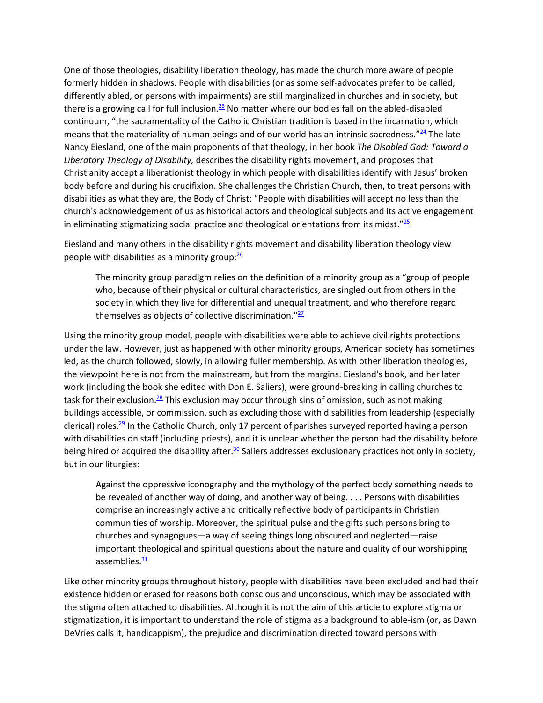One of those theologies, disability liberation theology, has made the church more aware of people formerly hidden in shadows. People with disabilities (or as some self-advocates prefer to be called, differently abled, or persons with impairments) are still marginalized in churches and in society, but there is a growing call for full inclusion.<sup>23</sup> No matter where our bodies fall on the abled-disabled continuum, "the sacramentality of the Catholic Christian tradition is based in the incarnation, which means that the materiality of human beings and of our world has an intrinsic sacredness." $^{24}$  The late Nancy Eiesland, one of the main proponents of that theology, in her book *The Disabled God: Toward a Liberatory Theology of Disability,* describes the disability rights movement, and proposes that Christianity accept a liberationist theology in which people with disabilities identify with Jesus' broken body before and during his crucifixion. She challenges the Christian Church, then, to treat persons with disabilities as what they are, the Body of Christ: "People with disabilities will accept no less than the church's acknowledgement of us as historical actors and theological subjects and its active engagement in eliminating stigmatizing social practice and theological orientations from its midst." $25$ 

Eiesland and many others in the disability rights movement and disability liberation theology view people with disabilities as a minority group: $\frac{26}{5}$ 

The minority group paradigm relies on the definition of a minority group as a "group of people who, because of their physical or cultural characteristics, are singled out from others in the society in which they live for differential and unequal treatment, and who therefore regard themselves as objects of collective discrimination." $27$ 

Using the minority group model, people with disabilities were able to achieve civil rights protections under the law. However, just as happened with other minority groups, American society has sometimes led, as the church followed, slowly, in allowing fuller membership. As with other liberation theologies, the viewpoint here is not from the mainstream, but from the margins. Eiesland's book, and her later work (including the book she edited with Don E. Saliers), were ground-breaking in calling churches to task for their exclusion.<sup>28</sup> This exclusion may occur through sins of omission, such as not making buildings accessible, or commission, such as excluding those with disabilities from leadership (especially clerical) roles.<sup>29</sup> In the Catholic Church, only 17 percent of parishes surveyed reported having a person with disabilities on staff (including priests), and it is unclear whether the person had the disability before being hired or acquired the disability after. $30$  Saliers addresses exclusionary practices not only in society, but in our liturgies:

Against the oppressive iconography and the mythology of the perfect body something needs to be revealed of another way of doing, and another way of being. . . . Persons with disabilities comprise an increasingly active and critically reflective body of participants in Christian communities of worship. Moreover, the spiritual pulse and the gifts such persons bring to churches and synagogues—a way of seeing things long obscured and neglected—raise important theological and spiritual questions about the nature and quality of our worshipping assemblies. $\frac{31}{2}$ 

Like other minority groups throughout history, people with disabilities have been excluded and had their existence hidden or erased for reasons both conscious and unconscious, which may be associated with the stigma often attached to disabilities. Although it is not the aim of this article to explore stigma or stigmatization, it is important to understand the role of stigma as a background to able-ism (or, as Dawn DeVries calls it, handicappism), the prejudice and discrimination directed toward persons with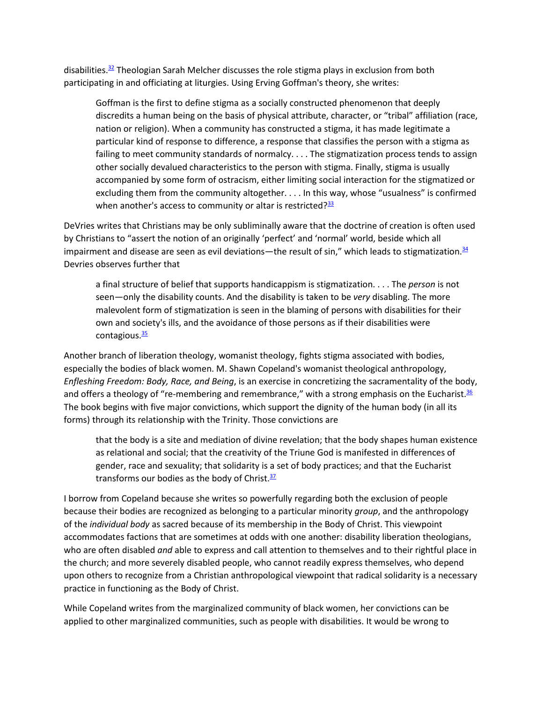disabilities. $32$  Theologian Sarah Melcher discusses the role stigma plays in exclusion from both participating in and officiating at liturgies. Using Erving Goffman's theory, she writes:

Goffman is the first to define stigma as a socially constructed phenomenon that deeply discredits a human being on the basis of physical attribute, character, or "tribal" affiliation (race, nation or religion). When a community has constructed a stigma, it has made legitimate a particular kind of response to difference, a response that classifies the person with a stigma as failing to meet community standards of normalcy. . . . The stigmatization process tends to assign other socially devalued characteristics to the person with stigma. Finally, stigma is usually accompanied by some form of ostracism, either limiting social interaction for the stigmatized or excluding them from the community altogether. . . . In this way, whose "usualness" is confirmed when another's access to community or altar is restricted?<sup>33</sup>

DeVries writes that Christians may be only subliminally aware that the doctrine of creation is often used by Christians to "assert the notion of an originally 'perfect' and 'normal' world, beside which all impairment and disease are seen as evil deviations—the result of  $sin''$ , which leads to stigmatization. $34$ Devries observes further that

a final structure of belief that supports handicappism is stigmatization. . . . The *person* is not seen—only the disability counts. And the disability is taken to be *very* disabling. The more malevolent form of stigmatization is seen in the blaming of persons with disabilities for their own and society's ills, and the avoidance of those persons as if their disabilities were contagious. $\frac{35}{2}$ 

Another branch of liberation theology, womanist theology, fights stigma associated with bodies, especially the bodies of black women. M. Shawn Copeland's womanist theological anthropology, *Enfleshing Freedom: Body, Race, and Being*, is an exercise in concretizing the sacramentality of the body, and offers a theology of "re-membering and remembrance," with a strong emphasis on the Eucharist.<sup>36</sup> The book begins with five major convictions, which support the dignity of the human body (in all its forms) through its relationship with the Trinity. Those convictions are

that the body is a site and mediation of divine revelation; that the body shapes human existence as relational and social; that the creativity of the Triune God is manifested in differences of gender, race and sexuality; that solidarity is a set of body practices; and that the Eucharist transforms our bodies as the body of Christ. $37$ 

I borrow from Copeland because she writes so powerfully regarding both the exclusion of people because their bodies are recognized as belonging to a particular minority *group*, and the anthropology of the *individual body* as sacred because of its membership in the Body of Christ. This viewpoint accommodates factions that are sometimes at odds with one another: disability liberation theologians, who are often disabled *and* able to express and call attention to themselves and to their rightful place in the church; and more severely disabled people, who cannot readily express themselves, who depend upon others to recognize from a Christian anthropological viewpoint that radical solidarity is a necessary practice in functioning as the Body of Christ.

While Copeland writes from the marginalized community of black women, her convictions can be applied to other marginalized communities, such as people with disabilities. It would be wrong to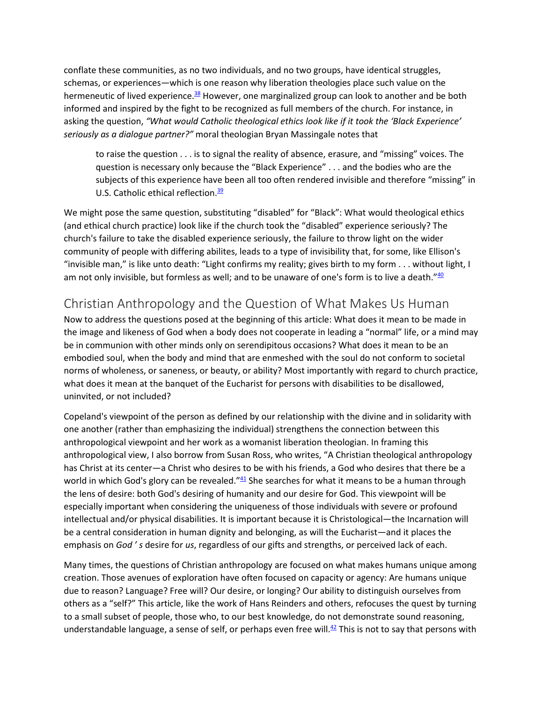conflate these communities, as no two individuals, and no two groups, have identical struggles, schemas, or experiences—which is one reason why liberation theologies place such value on the hermeneutic of lived experience.<sup>38</sup> However, one marginalized group can look to another and be both informed and inspired by the fight to be recognized as full members of the church. For instance, in asking the question, *"What would Catholic theological ethics look like if it took the 'Black Experience' seriously as a dialogue partner?"* moral theologian Bryan Massingale notes that

to raise the question . . . is to signal the reality of absence, erasure, and "missing" voices. The question is necessary only because the "Black Experience" . . . and the bodies who are the subjects of this experience have been all too often rendered invisible and therefore "missing" in U.S. Catholic ethical reflection. $\frac{39}{2}$ 

We might pose the same question, substituting "disabled" for "Black": What would theological ethics (and ethical church practice) look like if the church took the "disabled" experience seriously? The church's failure to take the disabled experience seriously, the failure to throw light on the wider community of people with differing abilites, leads to a type of invisibility that, for some, like Ellison's "invisible man," is like unto death: "Light confirms my reality; gives birth to my form . . . without light, I am not only invisible, but formless as well; and to be unaware of one's form is to live a death."<sup>40</sup>

#### <span id="page-8-0"></span>Christian Anthropology and the Question of What Makes Us Human

Now to address the questions posed at the beginning of this article: What does it mean to be made in the image and likeness of God when a body does not cooperate in leading a "normal" life, or a mind may be in communion with other minds only on serendipitous occasions? What does it mean to be an embodied soul, when the body and mind that are enmeshed with the soul do not conform to societal norms of wholeness, or saneness, or beauty, or ability? Most importantly with regard to church practice, what does it mean at the banquet of the Eucharist for persons with disabilities to be disallowed, uninvited, or not included?

Copeland's viewpoint of the person as defined by our relationship with the divine and in solidarity with one another (rather than emphasizing the individual) strengthens the connection between this anthropological viewpoint and her work as a womanist liberation theologian. In framing this anthropological view, I also borrow from Susan Ross, who writes, "A Christian theological anthropology has Christ at its center—a Christ who desires to be with his friends, a God who desires that there be a world in which God's glory can be revealed."<sup>41</sup> She searches for what it means to be a human through the lens of desire: both God's desiring of humanity and our desire for God. This viewpoint will be especially important when considering the uniqueness of those individuals with severe or profound intellectual and/or physical disabilities. It is important because it is Christological—the Incarnation will be a central consideration in human dignity and belonging, as will the Eucharist—and it places the emphasis on *God ' s* desire for *us*, regardless of our gifts and strengths, or perceived lack of each.

Many times, the questions of Christian anthropology are focused on what makes humans unique among creation. Those avenues of exploration have often focused on capacity or agency: Are humans unique due to reason? Language? Free will? Our desire, or longing? Our ability to distinguish ourselves from others as a "self?" This article, like the work of Hans Reinders and others, refocuses the quest by turning to a small subset of people, those who, to our best knowledge, do not demonstrate sound reasoning, understandable language, a sense of self, or perhaps even free will. $42$  This is not to say that persons with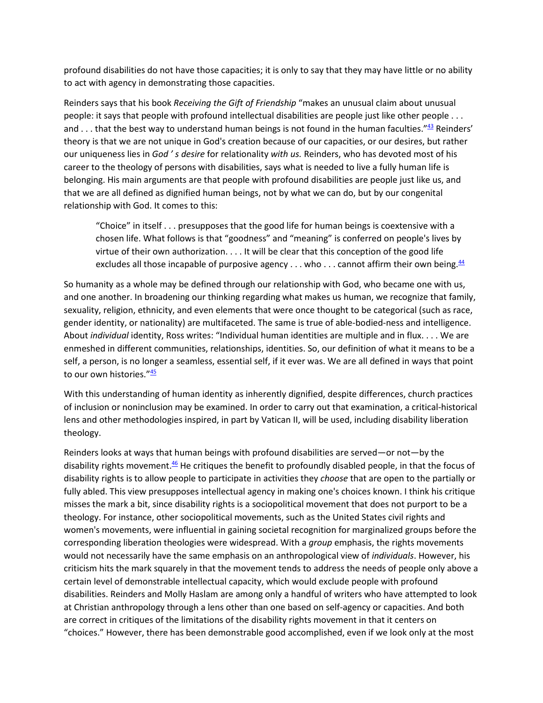profound disabilities do not have those capacities; it is only to say that they may have little or no ability to act with agency in demonstrating those capacities.

Reinders says that his book *Receiving the Gift of Friendship* "makes an unusual claim about unusual people: it says that people with profound intellectual disabilities are people just like other people . . . and  $\dots$  that the best way to understand human beings is not found in the human faculties." $43$  Reinders' theory is that we are not unique in God's creation because of our capacities, or our desires, but rather our uniqueness lies in *God ' s desire* for relationality *with us.* Reinders, who has devoted most of his career to the theology of persons with disabilities, says what is needed to live a fully human life is belonging. His main arguments are that people with profound disabilities are people just like us, and that we are all defined as dignified human beings, not by what we can do, but by our congenital relationship with God. It comes to this:

"Choice" in itself . . . presupposes that the good life for human beings is coextensive with a chosen life. What follows is that "goodness" and "meaning" is conferred on people's lives by virtue of their own authorization. . . . It will be clear that this conception of the good life excludes all those incapable of purposive agency  $\dots$  who  $\dots$  cannot affirm their own being.  $44$ 

So humanity as a whole may be defined through our relationship with God, who became one with us, and one another. In broadening our thinking regarding what makes us human, we recognize that family, sexuality, religion, ethnicity, and even elements that were once thought to be categorical (such as race, gender identity, or nationality) are multifaceted. The same is true of able-bodied-ness and intelligence. About *individual* identity, Ross writes: "Individual human identities are multiple and in flux. . . . We are enmeshed in different communities, relationships, identities. So, our definition of what it means to be a self, a person, is no longer a seamless, essential self, if it ever was. We are all defined in ways that point to our own histories."<sup>45</sup>

With this understanding of human identity as inherently dignified, despite differences, church practices of inclusion or noninclusion may be examined. In order to carry out that examination, a critical-historical lens and other methodologies inspired, in part by Vatican II, will be used, including disability liberation theology.

Reinders looks at ways that human beings with profound disabilities are served—or not—by the disability rights movement.<sup>46</sup> He critiques the benefit to profoundly disabled people, in that the focus of disability rights is to allow people to participate in activities they *choose* that are open to the partially or fully abled. This view presupposes intellectual agency in making one's choices known. I think his critique misses the mark a bit, since disability rights is a sociopolitical movement that does not purport to be a theology. For instance, other sociopolitical movements, such as the United States civil rights and women's movements, were influential in gaining societal recognition for marginalized groups before the corresponding liberation theologies were widespread. With a *group* emphasis, the rights movements would not necessarily have the same emphasis on an anthropological view of *individuals*. However, his criticism hits the mark squarely in that the movement tends to address the needs of people only above a certain level of demonstrable intellectual capacity, which would exclude people with profound disabilities. Reinders and Molly Haslam are among only a handful of writers who have attempted to look at Christian anthropology through a lens other than one based on self-agency or capacities. And both are correct in critiques of the limitations of the disability rights movement in that it centers on "choices." However, there has been demonstrable good accomplished, even if we look only at the most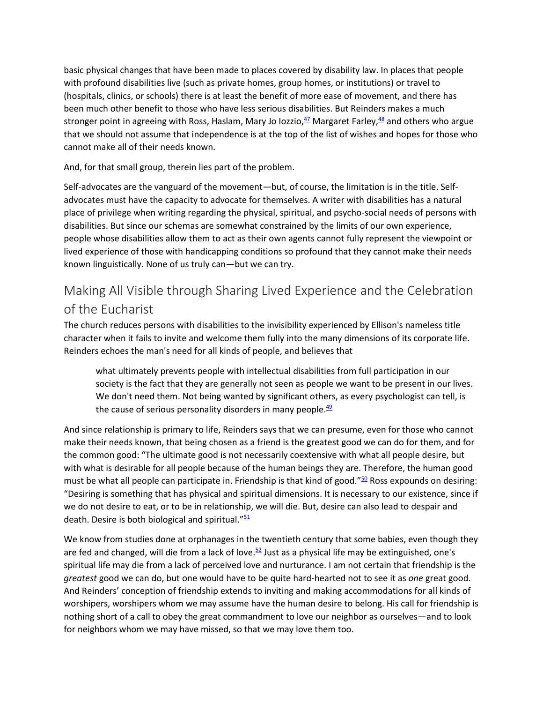basic physical changes that have been made to places covered by disability law. In places that people with profound disabilities live (such as private homes, group homes, or institutions) or travel to (hospitals, clinics, or schools) there is at least the benefit of more ease of movement, and there has been much other benefit to those who have less serious disabilities. But Reinders makes a much stronger point in agreeing with Ross, Haslam, Mary Jo Iozzio, <sup>47</sup> Margaret Farley, <sup>48</sup> and others who argue that we should not assume that independence is at the top of the list of wishes and hopes for those who cannot make all of their needs known.

And, for that small group, therein lies part of the problem.

Self-advocates are the vanguard of the movement—but, of course, the limitation is in the title. Selfadvocates must have the capacity to advocate for themselves. A writer with disabilities has a natural place of privilege when writing regarding the physical, spiritual, and psycho-social needs of persons with disabilities. But since our schemas are somewhat constrained by the limits of our own experience, people whose disabilities allow them to act as their own agents cannot fully represent the viewpoint or lived experience of those with handicapping conditions so profound that they cannot make their needs known linguistically. None of us truly can—but we can try.

### <span id="page-10-0"></span>Making All Visible through Sharing Lived Experience and the Celebration of the Eucharist

The church reduces persons with disabilities to the invisibility experienced by Ellison's nameless title character when it fails to invite and welcome them fully into the many dimensions of its corporate life. Reinders echoes the man's need for all kinds of people, and believes that

what ultimately prevents people with intellectual disabilities from full participation in our society is the fact that they are generally not seen as people we want to be present in our lives. We don't need them. Not being wanted by significant others, as every psychologist can tell, is the cause of serious personality disorders in many people. $\frac{49}{2}$ 

And since relationship is primary to life, Reinders says that we can presume, even for those who cannot make their needs known, that being chosen as a friend is the greatest good we can do for them, and for the common good: "The ultimate good is not necessarily coextensive with what all people desire, but with what is desirable for all people because of the human beings they are. Therefore, the human good must be what all people can participate in. Friendship is that kind of good."<sup>50</sup> Ross expounds on desiring: "Desiring is something that has physical and spiritual dimensions. It is necessary to our existence, since if we do not desire to eat, or to be in relationship, we will die. But, desire can also lead to despair and death. Desire is both biological and spiritual."<sup>51</sup>

We know from studies done at orphanages in the twentieth century that some babies, even though they are fed and changed, will die from a lack of love.  $52$  Just as a physical life may be extinguished, one's spiritual life may die from a lack of perceived love and nurturance. I am not certain that friendship is the *greatest* good we can do, but one would have to be quite hard-hearted not to see it as *one* great good. And Reinders' conception of friendship extends to inviting and making accommodations for all kinds of worshipers, worshipers whom we may assume have the human desire to belong. His call for friendship is nothing short of a call to obey the great commandment to love our neighbor as ourselves—and to look for neighbors whom we may have missed, so that we may love them too.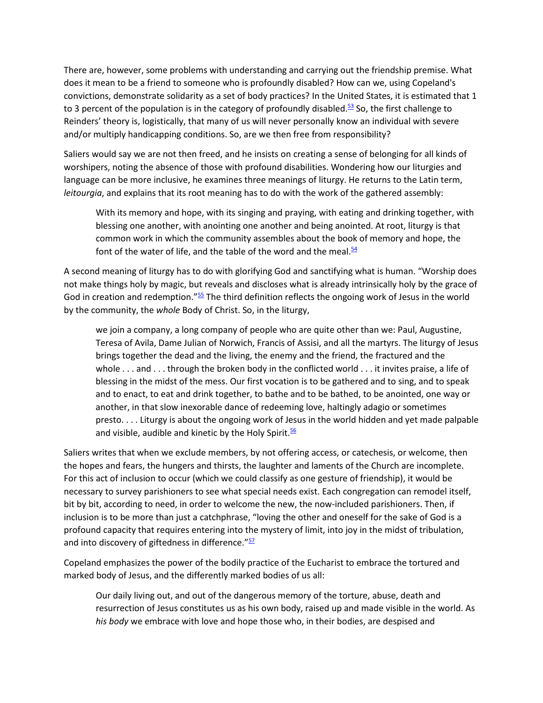There are, however, some problems with understanding and carrying out the friendship premise. What does it mean to be a friend to someone who is profoundly disabled? How can we, using Copeland's convictions, demonstrate solidarity as a set of body practices? In the United States, it is estimated that 1 to 3 percent of the population is in the category of profoundly disabled.<sup>53</sup> So, the first challenge to Reinders' theory is, logistically, that many of us will never personally know an individual with severe and/or multiply handicapping conditions. So, are we then free from responsibility?

Saliers would say we are not then freed, and he insists on creating a sense of belonging for all kinds of worshipers, noting the absence of those with profound disabilities. Wondering how our liturgies and language can be more inclusive, he examines three meanings of liturgy. He returns to the Latin term, *leitourgia*, and explains that its root meaning has to do with the work of the gathered assembly:

With its memory and hope, with its singing and praying, with eating and drinking together, with blessing one another, with anointing one another and being anointed. At root, liturgy is that common work in which the community assembles about the book of memory and hope, the font of the water of life, and the table of the word and the meal.  $\frac{54}{3}$ 

A second meaning of liturgy has to do with glorifying God and sanctifying what is human. "Worship does not make things holy by magic, but reveals and discloses what is already intrinsically holy by the grace of God in creation and redemption." $55$  The third definition reflects the ongoing work of Jesus in the world by the community, the *whole* Body of Christ. So, in the liturgy,

we join a company, a long company of people who are quite other than we: Paul, Augustine, Teresa of Avila, Dame Julian of Norwich, Francis of Assisi, and all the martyrs. The liturgy of Jesus brings together the dead and the living, the enemy and the friend, the fractured and the whole . . . and . . . through the broken body in the conflicted world . . . it invites praise, a life of blessing in the midst of the mess. Our first vocation is to be gathered and to sing, and to speak and to enact, to eat and drink together, to bathe and to be bathed, to be anointed, one way or another, in that slow inexorable dance of redeeming love, haltingly adagio or sometimes presto. . . . Liturgy is about the ongoing work of Jesus in the world hidden and yet made palpable and visible, audible and kinetic by the Holy Spirit. $56$ 

Saliers writes that when we exclude members, by not offering access, or catechesis, or welcome, then the hopes and fears, the hungers and thirsts, the laughter and laments of the Church are incomplete. For this act of inclusion to occur (which we could classify as one gesture of friendship), it would be necessary to survey parishioners to see what special needs exist. Each congregation can remodel itself, bit by bit, according to need, in order to welcome the new, the now-included parishioners. Then, if inclusion is to be more than just a catchphrase, "loving the other and oneself for the sake of God is a profound capacity that requires entering into the mystery of limit, into joy in the midst of tribulation, and into discovery of giftedness in difference. $"^{\overline{52}}$ 

Copeland emphasizes the power of the bodily practice of the Eucharist to embrace the tortured and marked body of Jesus, and the differently marked bodies of us all:

Our daily living out, and out of the dangerous memory of the torture, abuse, death and resurrection of Jesus constitutes us as his own body, raised up and made visible in the world. As *his body* we embrace with love and hope those who, in their bodies, are despised and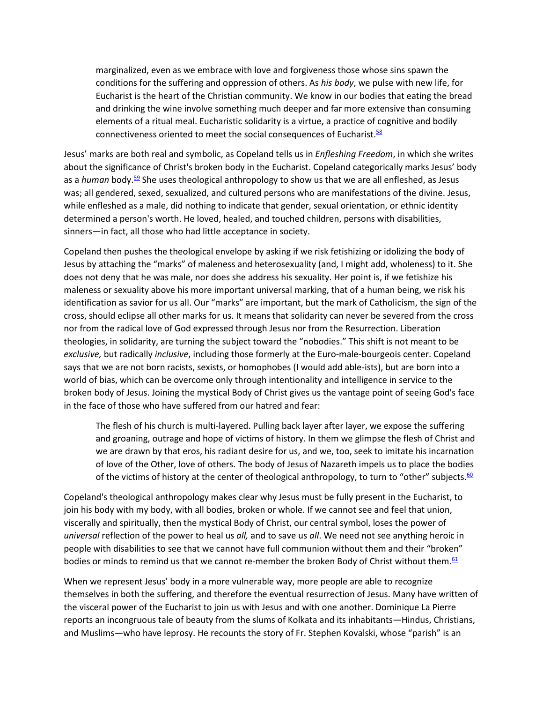marginalized, even as we embrace with love and forgiveness those whose sins spawn the conditions for the suffering and oppression of others. As *his body*, we pulse with new life, for Eucharist is the heart of the Christian community. We know in our bodies that eating the bread and drinking the wine involve something much deeper and far more extensive than consuming elements of a ritual meal. Eucharistic solidarity is a virtue, a practice of cognitive and bodily connectiveness oriented to meet the social consequences of Eucharist.<sup>58</sup>

Jesus' marks are both real and symbolic, as Copeland tells us in *Enfleshing Freedom*, in which she writes about the significance of Christ's broken body in the Eucharist. Copeland categorically marks Jesus' body as a *human* body.<sup>59</sup> She uses theological anthropology to show us that we are all enfleshed, as Jesus was; all gendered, sexed, sexualized, and cultured persons who are manifestations of the divine. Jesus, while enfleshed as a male, did nothing to indicate that gender, sexual orientation, or ethnic identity determined a person's worth. He loved, healed, and touched children, persons with disabilities, sinners—in fact, all those who had little acceptance in society.

Copeland then pushes the theological envelope by asking if we risk fetishizing or idolizing the body of Jesus by attaching the "marks" of maleness and heterosexuality (and, I might add, wholeness) to it. She does not deny that he was male, nor does she address his sexuality. Her point is, if we fetishize his maleness or sexuality above his more important universal marking, that of a human being, we risk his identification as savior for us all. Our "marks" are important, but the mark of Catholicism, the sign of the cross, should eclipse all other marks for us. It means that solidarity can never be severed from the cross nor from the radical love of God expressed through Jesus nor from the Resurrection. Liberation theologies, in solidarity, are turning the subject toward the "nobodies." This shift is not meant to be *exclusive,* but radically *inclusive*, including those formerly at the Euro-male-bourgeois center. Copeland says that we are not born racists, sexists, or homophobes (I would add able-ists), but are born into a world of bias, which can be overcome only through intentionality and intelligence in service to the broken body of Jesus. Joining the mystical Body of Christ gives us the vantage point of seeing God's face in the face of those who have suffered from our hatred and fear:

The flesh of his church is multi-layered. Pulling back layer after layer, we expose the suffering and groaning, outrage and hope of victims of history. In them we glimpse the flesh of Christ and we are drawn by that eros, his radiant desire for us, and we, too, seek to imitate his incarnation of love of the Other, love of others. The body of Jesus of Nazareth impels us to place the bodies of the victims of history at the center of theological anthropology, to turn to "other" subjects.<sup>60</sup>

Copeland's theological anthropology makes clear why Jesus must be fully present in the Eucharist, to join his body with my body, with all bodies, broken or whole. If we cannot see and feel that union, viscerally and spiritually, then the mystical Body of Christ, our central symbol, loses the power of *universal* reflection of the power to heal us *all,* and to save us *all*. We need not see anything heroic in people with disabilities to see that we cannot have full communion without them and their "broken" bodies or minds to remind us that we cannot re-member the broken Body of Christ without them. $61$ 

When we represent Jesus' body in a more vulnerable way, more people are able to recognize themselves in both the suffering, and therefore the eventual resurrection of Jesus. Many have written of the visceral power of the Eucharist to join us with Jesus and with one another. Dominique La Pierre reports an incongruous tale of beauty from the slums of Kolkata and its inhabitants—Hindus, Christians, and Muslims—who have leprosy. He recounts the story of Fr. Stephen Kovalski, whose "parish" is an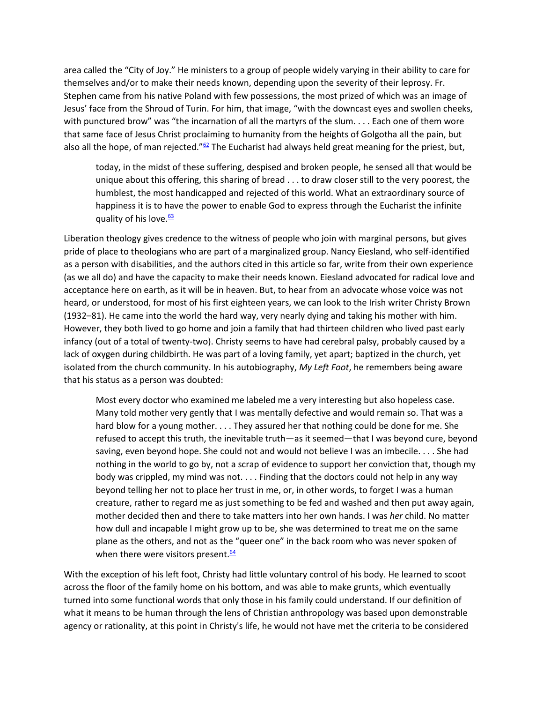area called the "City of Joy." He ministers to a group of people widely varying in their ability to care for themselves and/or to make their needs known, depending upon the severity of their leprosy. Fr. Stephen came from his native Poland with few possessions, the most prized of which was an image of Jesus' face from the Shroud of Turin. For him, that image, "with the downcast eyes and swollen cheeks, with punctured brow" was "the incarnation of all the martyrs of the slum. . . . Each one of them wore that same face of Jesus Christ proclaiming to humanity from the heights of Golgotha all the pain, but also all the hope, of man rejected." $^{62}$  The Eucharist had always held great meaning for the priest, but,

today, in the midst of these suffering, despised and broken people, he sensed all that would be unique about this offering, this sharing of bread . . . to draw closer still to the very poorest, the humblest, the most handicapped and rejected of this world. What an extraordinary source of happiness it is to have the power to enable God to express through the Eucharist the infinite quality of his love. $63$ 

Liberation theology gives credence to the witness of people who join with marginal persons, but gives pride of place to theologians who are part of a marginalized group. Nancy Eiesland, who self-identified as a person with disabilities, and the authors cited in this article so far, write from their own experience (as we all do) and have the capacity to make their needs known. Eiesland advocated for radical love and acceptance here on earth, as it will be in heaven. But, to hear from an advocate whose voice was not heard, or understood, for most of his first eighteen years, we can look to the Irish writer Christy Brown (1932–81). He came into the world the hard way, very nearly dying and taking his mother with him. However, they both lived to go home and join a family that had thirteen children who lived past early infancy (out of a total of twenty-two). Christy seems to have had cerebral palsy, probably caused by a lack of oxygen during childbirth. He was part of a loving family, yet apart; baptized in the church, yet isolated from the church community. In his autobiography, *My Left Foot*, he remembers being aware that his status as a person was doubted:

Most every doctor who examined me labeled me a very interesting but also hopeless case. Many told mother very gently that I was mentally defective and would remain so. That was a hard blow for a young mother. . . . They assured her that nothing could be done for me. She refused to accept this truth, the inevitable truth—as it seemed—that I was beyond cure, beyond saving, even beyond hope. She could not and would not believe I was an imbecile. . . . She had nothing in the world to go by, not a scrap of evidence to support her conviction that, though my body was crippled, my mind was not. . . . Finding that the doctors could not help in any way beyond telling her not to place her trust in me, or, in other words, to forget I was a human creature, rather to regard me as just something to be fed and washed and then put away again, mother decided then and there to take matters into her own hands. I was *her* child. No matter how dull and incapable I might grow up to be, she was determined to treat me on the same plane as the others, and not as the "queer one" in the back room who was never spoken of when there were visitors present. $\frac{64}{5}$ 

With the exception of his left foot, Christy had little voluntary control of his body. He learned to scoot across the floor of the family home on his bottom, and was able to make grunts, which eventually turned into some functional words that only those in his family could understand. If our definition of what it means to be human through the lens of Christian anthropology was based upon demonstrable agency or rationality, at this point in Christy's life, he would not have met the criteria to be considered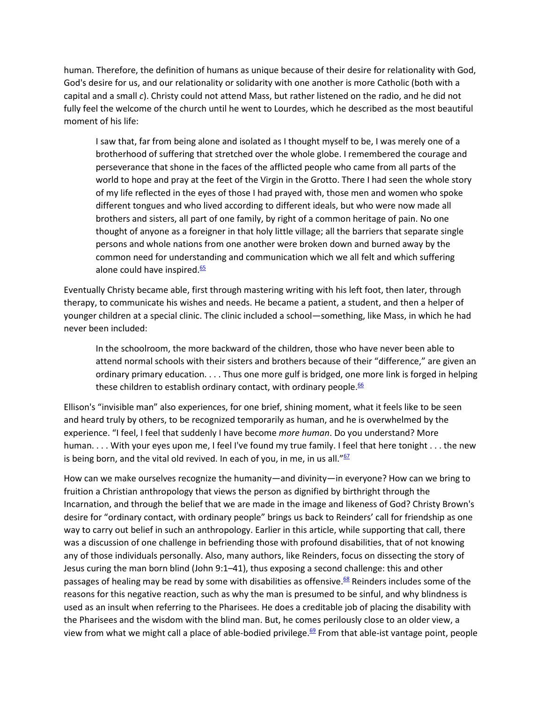human. Therefore, the definition of humans as unique because of their desire for relationality with God, God's desire for us, and our relationality or solidarity with one another is more Catholic (both with a capital and a small *c*). Christy could not attend Mass, but rather listened on the radio, and he did not fully feel the welcome of the church until he went to Lourdes, which he described as the most beautiful moment of his life:

I saw that, far from being alone and isolated as I thought myself to be, I was merely one of a brotherhood of suffering that stretched over the whole globe. I remembered the courage and perseverance that shone in the faces of the afflicted people who came from all parts of the world to hope and pray at the feet of the Virgin in the Grotto. There I had seen the whole story of my life reflected in the eyes of those I had prayed with, those men and women who spoke different tongues and who lived according to different ideals, but who were now made all brothers and sisters, all part of one family, by right of a common heritage of pain. No one thought of anyone as a foreigner in that holy little village; all the barriers that separate single persons and whole nations from one another were broken down and burned away by the common need for understanding and communication which we all felt and which suffering alone could have inspired. $65$ 

Eventually Christy became able, first through mastering writing with his left foot, then later, through therapy, to communicate his wishes and needs. He became a patient, a student, and then a helper of younger children at a special clinic. The clinic included a school—something, like Mass, in which he had never been included:

In the schoolroom, the more backward of the children, those who have never been able to attend normal schools with their sisters and brothers because of their "difference," are given an ordinary primary education. . . . Thus one more gulf is bridged, one more link is forged in helping these children to establish ordinary contact, with ordinary people. $66$ 

Ellison's "invisible man" also experiences, for one brief, shining moment, what it feels like to be seen and heard truly by others, to be recognized temporarily as human, and he is overwhelmed by the experience. "I feel, I feel that suddenly I have become *more human*. Do you understand? More human. . . . With your eyes upon me, I feel I've found my true family. I feel that here tonight . . . the new is being born, and the vital old revived. In each of you, in me, in us all." $67$ 

How can we make ourselves recognize the humanity—and divinity—in everyone? How can we bring to fruition a Christian anthropology that views the person as dignified by birthright through the Incarnation, and through the belief that we are made in the image and likeness of God? Christy Brown's desire for "ordinary contact, with ordinary people" brings us back to Reinders' call for friendship as one way to carry out belief in such an anthropology. Earlier in this article, while supporting that call, there was a discussion of one challenge in befriending those with profound disabilities, that of not knowing any of those individuals personally. Also, many authors, like Reinders, focus on dissecting the story of Jesus curing the man born blind (John 9:1–41), thus exposing a second challenge: this and other passages of healing may be read by some with disabilities as offensive[.68](https://www.cambridge.org/core/journals/horizons/article/making-the-invisible-visible-inviting-persons-with-disabilities-into-the-life-of-the-church/960A22FF83E46C8D7F9A3BE0BD30B642/core-reader#fn68) Reinders includes some of the reasons for this negative reaction, such as why the man is presumed to be sinful, and why blindness is used as an insult when referring to the Pharisees. He does a creditable job of placing the disability with the Pharisees and the wisdom with the blind man. But, he comes perilously close to an older view, a view from what we might call a place of able-bodied privilege.<sup>69</sup> From that able-ist vantage point, people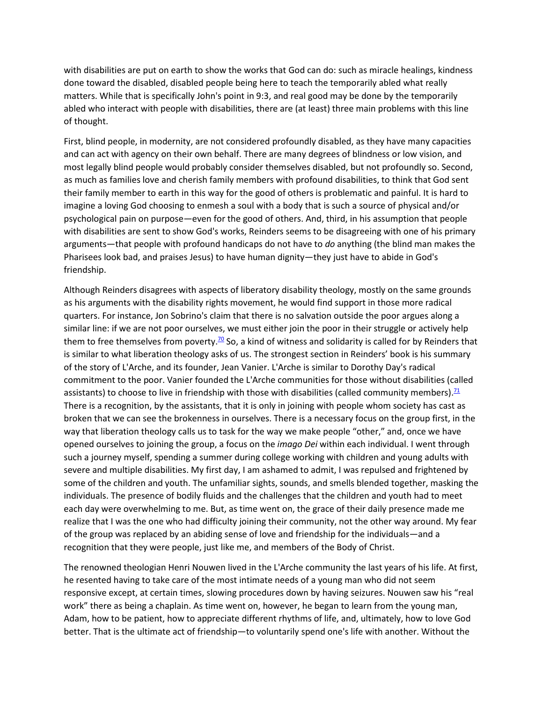with disabilities are put on earth to show the works that God can do: such as miracle healings, kindness done toward the disabled, disabled people being here to teach the temporarily abled what really matters. While that is specifically John's point in 9:3, and real good may be done by the temporarily abled who interact with people with disabilities, there are (at least) three main problems with this line of thought.

First, blind people, in modernity, are not considered profoundly disabled, as they have many capacities and can act with agency on their own behalf. There are many degrees of blindness or low vision, and most legally blind people would probably consider themselves disabled, but not profoundly so. Second, as much as families love and cherish family members with profound disabilities, to think that God sent their family member to earth in this way for the good of others is problematic and painful. It is hard to imagine a loving God choosing to enmesh a soul with a body that is such a source of physical and/or psychological pain on purpose—even for the good of others. And, third, in his assumption that people with disabilities are sent to show God's works, Reinders seems to be disagreeing with one of his primary arguments—that people with profound handicaps do not have to *do* anything (the blind man makes the Pharisees look bad, and praises Jesus) to have human dignity—they just have to abide in God's friendship.

Although Reinders disagrees with aspects of liberatory disability theology, mostly on the same grounds as his arguments with the disability rights movement, he would find support in those more radical quarters. For instance, Jon Sobrino's claim that there is no salvation outside the poor argues along a similar line: if we are not poor ourselves, we must either join the poor in their struggle or actively help them to free themselves from poverty.<sup>70</sup> So, a kind of witness and solidarity is called for by Reinders that is similar to what liberation theology asks of us. The strongest section in Reinders' book is his summary of the story of L'Arche, and its founder, Jean Vanier. L'Arche is similar to Dorothy Day's radical commitment to the poor. Vanier founded the L'Arche communities for those without disabilities (called assistants) to choose to live in friendship with those with disabilities (called community members).<sup>71</sup> There is a recognition, by the assistants, that it is only in joining with people whom society has cast as broken that we can see the brokenness in ourselves. There is a necessary focus on the group first, in the way that liberation theology calls us to task for the way we make people "other," and, once we have opened ourselves to joining the group, a focus on the *imago Dei* within each individual. I went through such a journey myself, spending a summer during college working with children and young adults with severe and multiple disabilities. My first day, I am ashamed to admit, I was repulsed and frightened by some of the children and youth. The unfamiliar sights, sounds, and smells blended together, masking the individuals. The presence of bodily fluids and the challenges that the children and youth had to meet each day were overwhelming to me. But, as time went on, the grace of their daily presence made me realize that I was the one who had difficulty joining their community, not the other way around. My fear of the group was replaced by an abiding sense of love and friendship for the individuals—and a recognition that they were people, just like me, and members of the Body of Christ.

The renowned theologian Henri Nouwen lived in the L'Arche community the last years of his life. At first, he resented having to take care of the most intimate needs of a young man who did not seem responsive except, at certain times, slowing procedures down by having seizures. Nouwen saw his "real work" there as being a chaplain. As time went on, however, he began to learn from the young man, Adam, how to be patient, how to appreciate different rhythms of life, and, ultimately, how to love God better. That is the ultimate act of friendship—to voluntarily spend one's life with another. Without the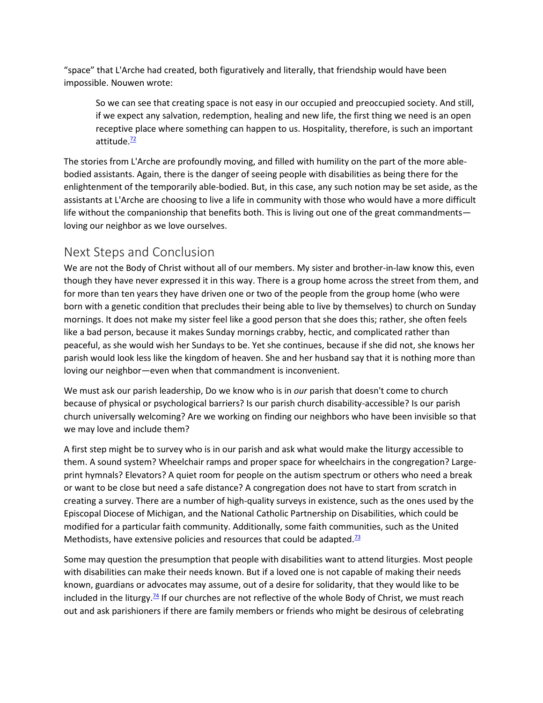"space" that L'Arche had created, both figuratively and literally, that friendship would have been impossible. Nouwen wrote:

So we can see that creating space is not easy in our occupied and preoccupied society. And still, if we expect any salvation, redemption, healing and new life, the first thing we need is an open receptive place where something can happen to us. Hospitality, therefore, is such an important attitude.<sup>72</sup>

The stories from L'Arche are profoundly moving, and filled with humility on the part of the more ablebodied assistants. Again, there is the danger of seeing people with disabilities as being there for the enlightenment of the temporarily able-bodied. But, in this case, any such notion may be set aside, as the assistants at L'Arche are choosing to live a life in community with those who would have a more difficult life without the companionship that benefits both. This is living out one of the great commandments loving our neighbor as we love ourselves.

#### <span id="page-16-0"></span>Next Steps and Conclusion

We are not the Body of Christ without all of our members. My sister and brother-in-law know this, even though they have never expressed it in this way. There is a group home across the street from them, and for more than ten years they have driven one or two of the people from the group home (who were born with a genetic condition that precludes their being able to live by themselves) to church on Sunday mornings. It does not make my sister feel like a good person that she does this; rather, she often feels like a bad person, because it makes Sunday mornings crabby, hectic, and complicated rather than peaceful, as she would wish her Sundays to be. Yet she continues, because if she did not, she knows her parish would look less like the kingdom of heaven. She and her husband say that it is nothing more than loving our neighbor—even when that commandment is inconvenient.

We must ask our parish leadership, Do we know who is in *our* parish that doesn't come to church because of physical or psychological barriers? Is our parish church disability-accessible? Is our parish church universally welcoming? Are we working on finding our neighbors who have been invisible so that we may love and include them?

A first step might be to survey who is in our parish and ask what would make the liturgy accessible to them. A sound system? Wheelchair ramps and proper space for wheelchairs in the congregation? Largeprint hymnals? Elevators? A quiet room for people on the autism spectrum or others who need a break or want to be close but need a safe distance? A congregation does not have to start from scratch in creating a survey. There are a number of high-quality surveys in existence, such as the ones used by the Episcopal Diocese of Michigan, and the National Catholic Partnership on Disabilities, which could be modified for a particular faith community. Additionally, some faith communities, such as the United Methodists, have extensive policies and resources that could be adapted.<sup>73</sup>

Some may question the presumption that people with disabilities want to attend liturgies. Most people with disabilities can make their needs known. But if a loved one is not capable of making their needs known, guardians or advocates may assume, out of a desire for solidarity, that they would like to be included in the liturgy.<sup>74</sup> If our churches are not reflective of the whole Body of Christ, we must reach out and ask parishioners if there are family members or friends who might be desirous of celebrating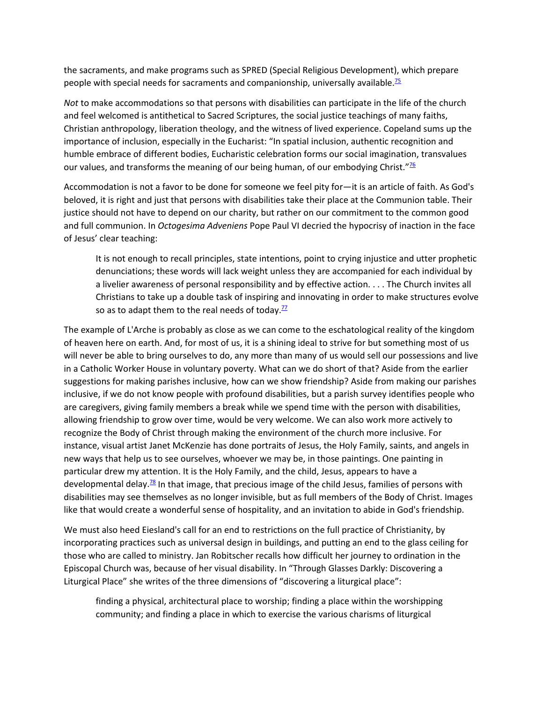the sacraments, and make programs such as SPRED (Special Religious Development), which prepare people with special needs for sacraments and companionship, universally available.<sup>75</sup>

*Not* to make accommodations so that persons with disabilities can participate in the life of the church and feel welcomed is antithetical to Sacred Scriptures, the social justice teachings of many faiths, Christian anthropology, liberation theology, and the witness of lived experience. Copeland sums up the importance of inclusion, especially in the Eucharist: "In spatial inclusion, authentic recognition and humble embrace of different bodies, Eucharistic celebration forms our social imagination, transvalues our values, and transforms the meaning of our being human, of our embodying Christ." $\frac{76}{6}$ 

Accommodation is not a favor to be done for someone we feel pity for—it is an article of faith. As God's beloved, it is right and just that persons with disabilities take their place at the Communion table. Their justice should not have to depend on our charity, but rather on our commitment to the common good and full communion. In *Octogesima Adveniens* Pope Paul VI decried the hypocrisy of inaction in the face of Jesus' clear teaching:

It is not enough to recall principles, state intentions, point to crying injustice and utter prophetic denunciations; these words will lack weight unless they are accompanied for each individual by a livelier awareness of personal responsibility and by effective action. . . . The Church invites all Christians to take up a double task of inspiring and innovating in order to make structures evolve so as to adapt them to the real needs of today. $\frac{77}{2}$ 

The example of L'Arche is probably as close as we can come to the eschatological reality of the kingdom of heaven here on earth. And, for most of us, it is a shining ideal to strive for but something most of us will never be able to bring ourselves to do, any more than many of us would sell our possessions and live in a Catholic Worker House in voluntary poverty. What can we do short of that? Aside from the earlier suggestions for making parishes inclusive, how can we show friendship? Aside from making our parishes inclusive, if we do not know people with profound disabilities, but a parish survey identifies people who are caregivers, giving family members a break while we spend time with the person with disabilities, allowing friendship to grow over time, would be very welcome. We can also work more actively to recognize the Body of Christ through making the environment of the church more inclusive. For instance, visual artist Janet McKenzie has done portraits of Jesus, the Holy Family, saints, and angels in new ways that help us to see ourselves, whoever we may be, in those paintings. One painting in particular drew my attention. It is the Holy Family, and the child, Jesus, appears to have a developmental delay.<sup>78</sup> In that image, that precious image of the child Jesus, families of persons with disabilities may see themselves as no longer invisible, but as full members of the Body of Christ. Images like that would create a wonderful sense of hospitality, and an invitation to abide in God's friendship.

We must also heed Eiesland's call for an end to restrictions on the full practice of Christianity, by incorporating practices such as universal design in buildings, and putting an end to the glass ceiling for those who are called to ministry. Jan Robitscher recalls how difficult her journey to ordination in the Episcopal Church was, because of her visual disability. In "Through Glasses Darkly: Discovering a Liturgical Place" she writes of the three dimensions of "discovering a liturgical place":

finding a physical, architectural place to worship; finding a place within the worshipping community; and finding a place in which to exercise the various charisms of liturgical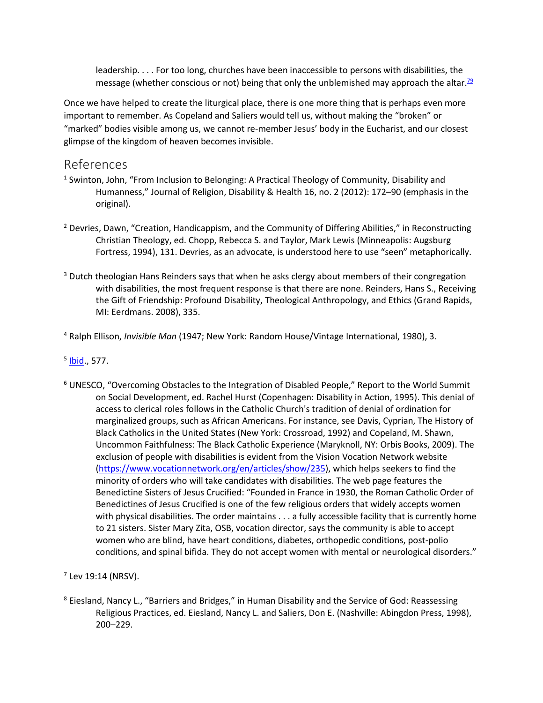leadership. . . . For too long, churches have been inaccessible to persons with disabilities, the message (whether conscious or not) being that only the unblemished may approach the altar.<sup>79</sup>

Once we have helped to create the liturgical place, there is one more thing that is perhaps even more important to remember. As Copeland and Saliers would tell us, without making the "broken" or "marked" bodies visible among us, we cannot re-member Jesus' body in the Eucharist, and our closest glimpse of the kingdom of heaven becomes invisible.

#### <span id="page-18-0"></span>References

- <sup>1</sup> Swinton, John, "From Inclusion to Belonging: A Practical Theology of Community, Disability and Humanness," Journal of Religion, Disability & Health 16, no. 2 (2012): 172–90 (emphasis in the original).
- <sup>2</sup> Devries, Dawn, "Creation, Handicappism, and the Community of Differing Abilities," in Reconstructing Christian Theology, ed. Chopp, Rebecca S. and Taylor, Mark Lewis (Minneapolis: Augsburg Fortress, 1994), 131. Devries, as an advocate, is understood here to use "seen" metaphorically.
- <sup>3</sup> Dutch theologian Hans Reinders says that when he asks clergy about members of their congregation with disabilities, the most frequent response is that there are none. Reinders, Hans S., Receiving the Gift of Friendship: Profound Disability, Theological Anthropology, and Ethics (Grand Rapids, MI: Eerdmans. 2008), 335.

<sup>4</sup> Ralph Ellison, *Invisible Man* (1947; New York: Random House/Vintage International, 1980), 3.

 $<sup>5</sup>$  [Ibid.](https://www.cambridge.org/core/journals/horizons/article/making-the-invisible-visible-inviting-persons-with-disabilities-into-the-life-of-the-church/960A22FF83E46C8D7F9A3BE0BD30B642/core-reader#fn4), 577.</sup>

<sup>6</sup> UNESCO, "Overcoming Obstacles to the Integration of Disabled People," Report to the World Summit on Social Development, ed. Rachel Hurst (Copenhagen: Disability in Action, 1995). This denial of access to clerical roles follows in the Catholic Church's tradition of denial of ordination for marginalized groups, such as African Americans. For instance, see Davis, Cyprian, The History of Black Catholics in the United States (New York: Crossroad, 1992) and Copeland, M. Shawn, Uncommon Faithfulness: The Black Catholic Experience (Maryknoll, NY: Orbis Books, 2009). The exclusion of people with disabilities is evident from the Vision Vocation Network website [\(https://www.vocationnetwork.org/en/articles/show/235\)](https://www.vocationnetwork.org/en/articles/show/235), which helps seekers to find the minority of orders who will take candidates with disabilities. The web page features the Benedictine Sisters of Jesus Crucified: "Founded in France in 1930, the Roman Catholic Order of Benedictines of Jesus Crucified is one of the few religious orders that widely accepts women with physical disabilities. The order maintains . . . a fully accessible facility that is currently home to 21 sisters. Sister Mary Zita, OSB, vocation director, says the community is able to accept women who are blind, have heart conditions, diabetes, orthopedic conditions, post-polio conditions, and spinal bifida. They do not accept women with mental or neurological disorders."

 $7$  Lev 19:14 (NRSV).

<sup>8</sup> Eiesland, Nancy L., "Barriers and Bridges," in Human Disability and the Service of God: Reassessing Religious Practices, ed. Eiesland, Nancy L. and Saliers, Don E. (Nashville: Abingdon Press, 1998), 200–229.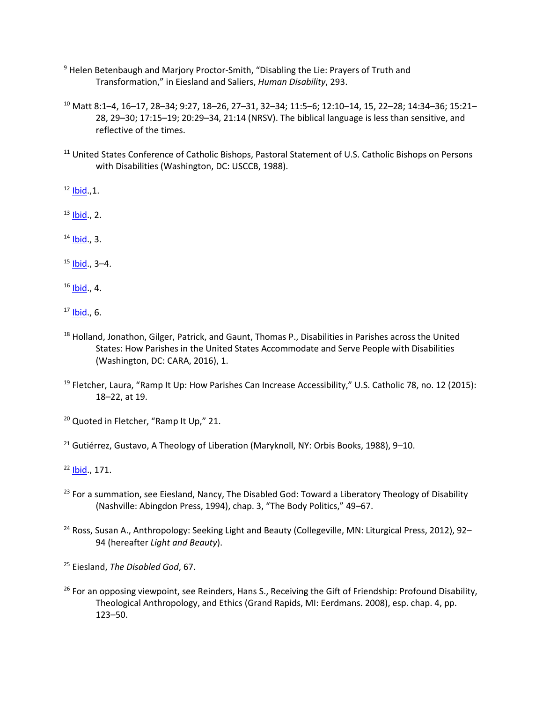- <sup>9</sup> Helen Betenbaugh and Marjory Proctor-Smith, "Disabling the Lie: Prayers of Truth and Transformation," in Eiesland and Saliers, *Human Disability*, 293.
- <sup>10</sup> Matt 8:1–4, 16–17, 28–34; 9:27, 18–26, 27–31, 32–34; 11:5–6; 12:10–14, 15, 22–28; 14:34–36; 15:21– 28, 29–30; 17:15–19; 20:29–34, 21:14 (NRSV). The biblical language is less than sensitive, and reflective of the times.
- <sup>11</sup> United States Conference of Catholic Bishops, Pastoral Statement of U.S. Catholic Bishops on Persons with Disabilities (Washington, DC: USCCB, 1988).

 $12$  lbid., 1.

 $13$  [Ibid.](https://www.cambridge.org/core/journals/horizons/article/making-the-invisible-visible-inviting-persons-with-disabilities-into-the-life-of-the-church/960A22FF83E46C8D7F9A3BE0BD30B642/core-reader#fn11), 2.

 $14$  [Ibid.](https://www.cambridge.org/core/journals/horizons/article/making-the-invisible-visible-inviting-persons-with-disabilities-into-the-life-of-the-church/960A22FF83E46C8D7F9A3BE0BD30B642/core-reader#fn11), 3.

 $15$  [Ibid.](https://www.cambridge.org/core/journals/horizons/article/making-the-invisible-visible-inviting-persons-with-disabilities-into-the-life-of-the-church/960A22FF83E46C8D7F9A3BE0BD30B642/core-reader#fn11), 3-4.

 $16$  [Ibid.](https://www.cambridge.org/core/journals/horizons/article/making-the-invisible-visible-inviting-persons-with-disabilities-into-the-life-of-the-church/960A22FF83E46C8D7F9A3BE0BD30B642/core-reader#fn11), 4.

 $17$  [Ibid.](https://www.cambridge.org/core/journals/horizons/article/making-the-invisible-visible-inviting-persons-with-disabilities-into-the-life-of-the-church/960A22FF83E46C8D7F9A3BE0BD30B642/core-reader#fn11), 6.

- <sup>18</sup> Holland, Jonathon, Gilger, Patrick, and Gaunt, Thomas P., Disabilities in Parishes across the United States: How Parishes in the United States Accommodate and Serve People with Disabilities (Washington, DC: CARA, 2016), 1.
- <sup>19</sup> Fletcher, Laura, "Ramp It Up: How Parishes Can Increase Accessibility," U.S. Catholic 78, no. 12 (2015): 18–22, at 19.

<sup>20</sup> Quoted in Fletcher, "Ramp It Up," 21.

<sup>21</sup> Gutiérrez, Gustavo, A Theology of Liberation (Maryknoll, NY: Orbis Books, 1988), 9-10.

<sup>22</sup> [Ibid.](https://www.cambridge.org/core/journals/horizons/article/making-the-invisible-visible-inviting-persons-with-disabilities-into-the-life-of-the-church/960A22FF83E46C8D7F9A3BE0BD30B642/core-reader#fn21), 171.

- <sup>23</sup> For a summation, see Eiesland, Nancy, The Disabled God: Toward a Liberatory Theology of Disability (Nashville: Abingdon Press, 1994), chap. 3, "The Body Politics," 49–67.
- <sup>24</sup> Ross, Susan A., Anthropology: Seeking Light and Beauty (Collegeville, MN: Liturgical Press, 2012), 92-94 (hereafter *Light and Beauty*).
- <sup>25</sup> Eiesland, *The Disabled God*, 67.
- <sup>26</sup> For an opposing viewpoint, see Reinders, Hans S., Receiving the Gift of Friendship: Profound Disability, Theological Anthropology, and Ethics (Grand Rapids, MI: Eerdmans. 2008), esp. chap. 4, pp. 123–50.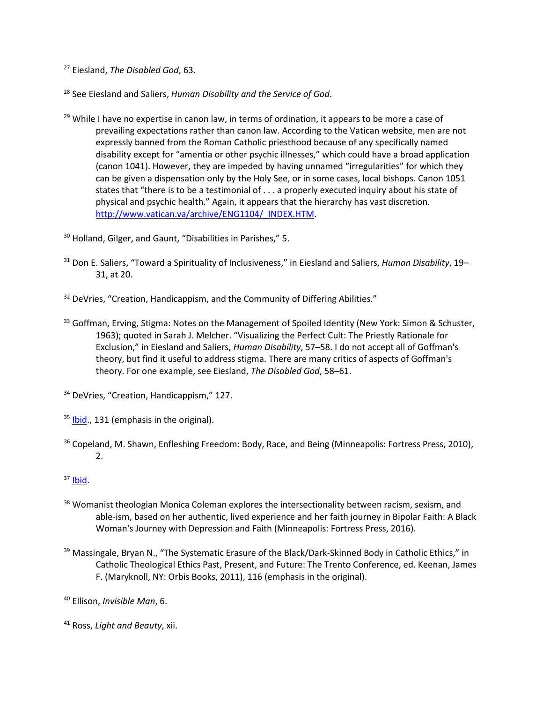<sup>27</sup> Eiesland, *The Disabled God*, 63.

<sup>28</sup> See Eiesland and Saliers, *Human Disability and the Service of God*.

- $29$  While I have no expertise in canon law, in terms of ordination, it appears to be more a case of prevailing expectations rather than canon law. According to the Vatican website, men are not expressly banned from the Roman Catholic priesthood because of any specifically named disability except for "amentia or other psychic illnesses," which could have a broad application (canon 1041). However, they are impeded by having unnamed "irregularities" for which they can be given a dispensation only by the Holy See, or in some cases, local bishops. Canon 1051 states that "there is to be a testimonial of . . . a properly executed inquiry about his state of physical and psychic health." Again, it appears that the hierarchy has vast discretion. [http://www.vatican.va/archive/ENG1104/\\_INDEX.HTM.](http://www.vatican.va/archive/ENG1104/_INDEX.HTM)
- <sup>30</sup> Holland, Gilger, and Gaunt, "Disabilities in Parishes," 5.
- <sup>31</sup> Don E. Saliers, "Toward a Spirituality of Inclusiveness," in Eiesland and Saliers, *Human Disability*, 19– 31, at 20.
- <sup>32</sup> DeVries, "Creation, Handicappism, and the Community of Differing Abilities."
- <sup>33</sup> Goffman, Erving, Stigma: Notes on the Management of Spoiled Identity (New York: Simon & Schuster, 1963); quoted in Sarah J. Melcher. "Visualizing the Perfect Cult: The Priestly Rationale for Exclusion," in Eiesland and Saliers, *Human Disability*, 57–58. I do not accept all of Goffman's theory, but find it useful to address stigma. There are many critics of aspects of Goffman's theory. For one example, see Eiesland, *The Disabled God*, 58–61.
- <sup>34</sup> DeVries, "Creation, Handicappism," 127.
- <sup>35</sup> [Ibid.](https://www.cambridge.org/core/journals/horizons/article/making-the-invisible-visible-inviting-persons-with-disabilities-into-the-life-of-the-church/960A22FF83E46C8D7F9A3BE0BD30B642/core-reader#fn34), 131 (emphasis in the original).
- <sup>36</sup> Copeland, M. Shawn, Enfleshing Freedom: Body, Race, and Being (Minneapolis: Fortress Press, 2010), 2.

#### $37$  [Ibid.](https://www.cambridge.org/core/journals/horizons/article/making-the-invisible-visible-inviting-persons-with-disabilities-into-the-life-of-the-church/960A22FF83E46C8D7F9A3BE0BD30B642/core-reader#fn36)

- <sup>38</sup> Womanist theologian Monica Coleman explores the intersectionality between racism, sexism, and able-ism, based on her authentic, lived experience and her faith journey in Bipolar Faith: A Black Woman's Journey with Depression and Faith (Minneapolis: Fortress Press, 2016).
- <sup>39</sup> Massingale, Bryan N., "The Systematic Erasure of the Black/Dark-Skinned Body in Catholic Ethics," in Catholic Theological Ethics Past, Present, and Future: The Trento Conference, ed. Keenan, James F. (Maryknoll, NY: Orbis Books, 2011), 116 (emphasis in the original).
- <sup>40</sup> Ellison, *Invisible Man*, 6.
- <sup>41</sup> Ross, *Light and Beauty*, xii.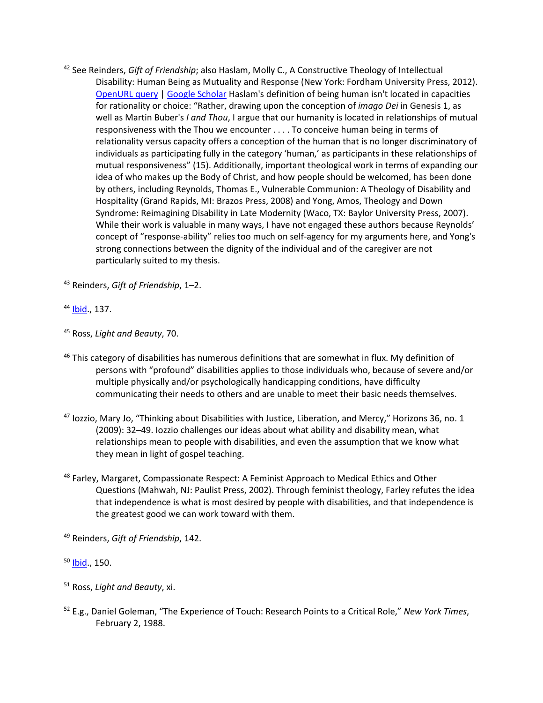<sup>42</sup> See Reinders, *Gift of Friendship*; also Haslam, Molly C., A Constructive Theology of Intellectual Disability: Human Being as Mutuality and Response (New York: Fordham University Press, 2012)[.](http://libus.csd.mu.edu:4550/resserv?genre=book&date=2012&sid=www.cambridge.org&title=A%20Constructive%20Theology%20of%20Intellectual%20Disability:%20Human%20Being%20as%20Mutuality%20and%20Response&btitle=A%20Constructive%20Theology%20of%20Intellectual%20Disability:%20Human%20Being%20as%20Mutuality%20and%20Response) [OpenURL query](http://libus.csd.mu.edu:4550/resserv?genre=book&date=2012&sid=www.cambridge.org&title=A%20Constructive%20Theology%20of%20Intellectual%20Disability:%20Human%20Being%20as%20Mutuality%20and%20Response&btitle=A%20Constructive%20Theology%20of%20Intellectual%20Disability:%20Human%20Being%20as%20Mutuality%20and%20Response) [| Google Scholar](https://scholar.google.com/scholar_lookup?title=A+Constructive+Theology+of+Intellectual+Disability:+Human+Being+as+Mutuality+and+Response&publication+year=2012&author=Haslam+Molly+C.) Haslam's definition of being human isn't located in capacities for rationality or choice: "Rather, drawing upon the conception of *imago Dei* in Genesis 1, as well as Martin Buber's *I and Thou*, I argue that our humanity is located in relationships of mutual responsiveness with the Thou we encounter . . . . To conceive human being in terms of relationality versus capacity offers a conception of the human that is no longer discriminatory of individuals as participating fully in the category 'human,' as participants in these relationships of mutual responsiveness" (15). Additionally, important theological work in terms of expanding our idea of who makes up the Body of Christ, and how people should be welcomed, has been done by others, including Reynolds, Thomas E., Vulnerable Communion: A Theology of Disability and Hospitality (Grand Rapids, MI: Brazos Press, 2008) and Yong, Amos, Theology and Down Syndrome: Reimagining Disability in Late Modernity (Waco, TX: Baylor University Press, 2007). While their work is valuable in many ways, I have not engaged these authors because Reynolds' concept of "response-ability" relies too much on self-agency for my arguments here, and Yong's strong connections between the dignity of the individual and of the caregiver are not particularly suited to my thesis.

<sup>43</sup> Reinders, *Gift of Friendship*, 1–2.

<sup>44</sup> [Ibid.](https://www.cambridge.org/core/journals/horizons/article/making-the-invisible-visible-inviting-persons-with-disabilities-into-the-life-of-the-church/960A22FF83E46C8D7F9A3BE0BD30B642/core-reader#fn43), 137.

<sup>45</sup> Ross, *Light and Beauty*, 70.

- <sup>46</sup> This category of disabilities has numerous definitions that are somewhat in flux. My definition of persons with "profound" disabilities applies to those individuals who, because of severe and/or multiple physically and/or psychologically handicapping conditions, have difficulty communicating their needs to others and are unable to meet their basic needs themselves.
- <sup>47</sup> Iozzio, Mary Jo, "Thinking about Disabilities with Justice, Liberation, and Mercy," Horizons 36, no. 1 (2009): 32–49. Iozzio challenges our ideas about what ability and disability mean, what relationships mean to people with disabilities, and even the assumption that we know what they mean in light of gospel teaching.
- 48 Farley, Margaret, Compassionate Respect: A Feminist Approach to Medical Ethics and Other Questions (Mahwah, NJ: Paulist Press, 2002). Through feminist theology, Farley refutes the idea that independence is what is most desired by people with disabilities, and that independence is the greatest good we can work toward with them.
- <sup>49</sup> Reinders, *Gift of Friendship*, 142.

 $50$  [Ibid.](https://www.cambridge.org/core/journals/horizons/article/making-the-invisible-visible-inviting-persons-with-disabilities-into-the-life-of-the-church/960A22FF83E46C8D7F9A3BE0BD30B642/core-reader#fn49), 150.

- <sup>51</sup> Ross, *Light and Beauty*, xi.
- <sup>52</sup> E.g., Daniel Goleman, "The Experience of Touch: Research Points to a Critical Role," *New York Times*, February 2, 1988.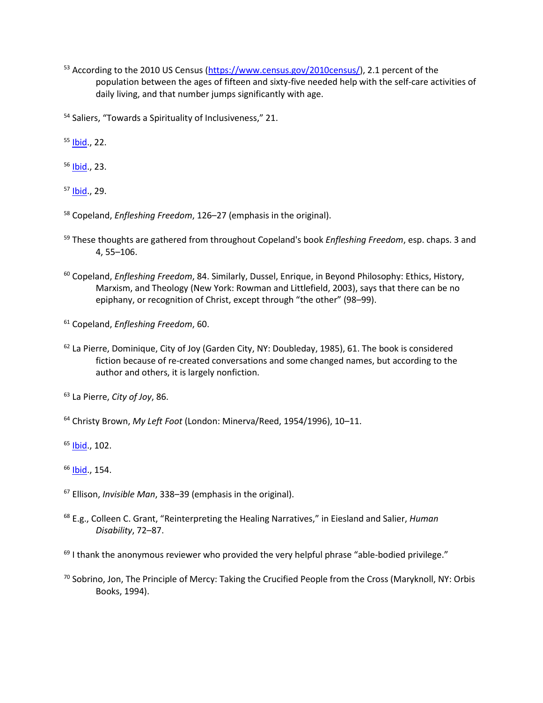- <sup>53</sup> According to the 2010 US Census [\(https://www.census.gov/2010census/\)](https://www.census.gov/2010census/), 2.1 percent of the population between the ages of fifteen and sixty-five needed help with the self-care activities of daily living, and that number jumps significantly with age.
- <sup>54</sup> Saliers, "Towards a Spirituality of Inclusiveness," 21.

<sup>55</sup> [Ibid.](https://www.cambridge.org/core/journals/horizons/article/making-the-invisible-visible-inviting-persons-with-disabilities-into-the-life-of-the-church/960A22FF83E46C8D7F9A3BE0BD30B642/core-reader#fn54), 22.

<sup>56</sup> [Ibid.](https://www.cambridge.org/core/journals/horizons/article/making-the-invisible-visible-inviting-persons-with-disabilities-into-the-life-of-the-church/960A22FF83E46C8D7F9A3BE0BD30B642/core-reader#fn54), 23.

<sup>57</sup> [Ibid.](https://www.cambridge.org/core/journals/horizons/article/making-the-invisible-visible-inviting-persons-with-disabilities-into-the-life-of-the-church/960A22FF83E46C8D7F9A3BE0BD30B642/core-reader#fn54), 29.

<sup>58</sup> Copeland, *Enfleshing Freedom*, 126–27 (emphasis in the original).

- <sup>59</sup> These thoughts are gathered from throughout Copeland's book *Enfleshing Freedom*, esp. chaps. 3 and 4, 55–106.
- <sup>60</sup> Copeland, *Enfleshing Freedom*, 84. Similarly, Dussel, Enrique, in Beyond Philosophy: Ethics, History, Marxism, and Theology (New York: Rowman and Littlefield, 2003), says that there can be no epiphany, or recognition of Christ, except through "the other" (98–99).
- <sup>61</sup> Copeland, *Enfleshing Freedom*, 60.
- $62$  La Pierre, Dominique, City of Joy (Garden City, NY: Doubleday, 1985), 61. The book is considered fiction because of re-created conversations and some changed names, but according to the author and others, it is largely nonfiction.

<sup>63</sup> La Pierre, *City of Joy*, 86.

<sup>64</sup> Christy Brown, *My Left Foot* (London: Minerva/Reed, 1954/1996), 10–11.

<sup>65</sup> [Ibid.](https://www.cambridge.org/core/journals/horizons/article/making-the-invisible-visible-inviting-persons-with-disabilities-into-the-life-of-the-church/960A22FF83E46C8D7F9A3BE0BD30B642/core-reader#fn64), 102.

<sup>66</sup> [Ibid.](https://www.cambridge.org/core/journals/horizons/article/making-the-invisible-visible-inviting-persons-with-disabilities-into-the-life-of-the-church/960A22FF83E46C8D7F9A3BE0BD30B642/core-reader#fn64), 154.

- <sup>67</sup> Ellison, *Invisible Man*, 338–39 (emphasis in the original).
- <sup>68</sup> E.g., Colleen C. Grant, "Reinterpreting the Healing Narratives," in Eiesland and Salier, *Human Disability*, 72–87.
- $69$  I thank the anonymous reviewer who provided the very helpful phrase "able-bodied privilege."
- <sup>70</sup> Sobrino, Jon, The Principle of Mercy: Taking the Crucified People from the Cross (Maryknoll, NY: Orbis Books, 1994).